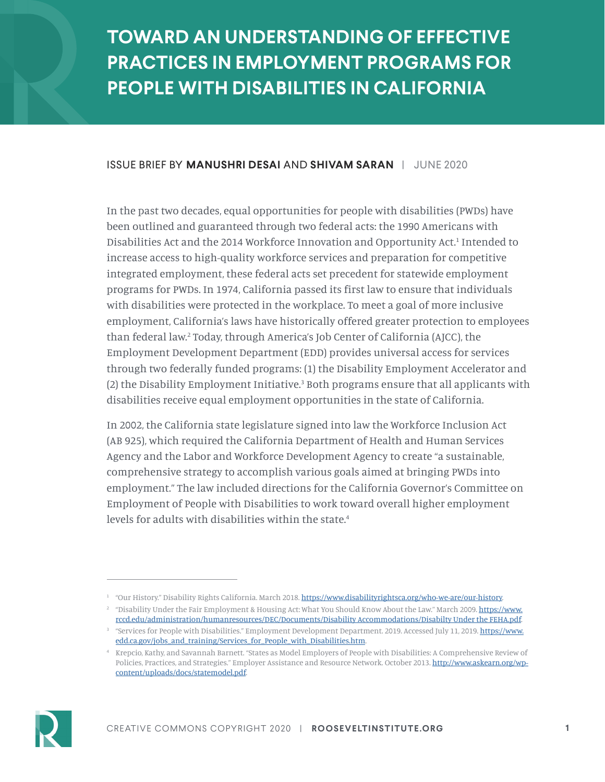# **TOWARD AN UNDERSTANDING OF EFFECTIVE PRACTICES IN EMPLOYMENT PROGRAMS FOR PEOPLE WITH DISABILITIES IN CALIFORNIA**

#### ISSUE BRIEF BY **MANUSHRI DESAI** AND **SHIVAM SARAN** | JUNE 2020

In the past two decades, equal opportunities for people with disabilities (PWDs) have been outlined and guaranteed through two federal acts: the 1990 Americans with Disabilities Act and the 2014 Workforce Innovation and Opportunity Act.<sup>1</sup> Intended to increase access to high-quality workforce services and preparation for competitive integrated employment, these federal acts set precedent for statewide employment programs for PWDs. In 1974, California passed its first law to ensure that individuals with disabilities were protected in the workplace. To meet a goal of more inclusive employment, California's laws have historically offered greater protection to employees than federal law.2 Today, through America's Job Center of California (AJCC), the Employment Development Department (EDD) provides universal access for services through two federally funded programs: (1) the Disability Employment Accelerator and (2) the Disability Employment Initiative.<sup>3</sup> Both programs ensure that all applicants with disabilities receive equal employment opportunities in the state of California.

In 2002, the California state legislature signed into law the Workforce Inclusion Act (AB 925), which required the California Department of Health and Human Services Agency and the Labor and Workforce Development Agency to create "a sustainable, comprehensive strategy to accomplish various goals aimed at bringing PWDs into employment." The law included directions for the California Governor's Committee on Employment of People with Disabilities to work toward overall higher employment levels for adults with disabilities within the state.4



<sup>&</sup>lt;sup>1</sup> "Our History." Disability Rights California. March 2018.<https://www.disabilityrightsca.org/who-we-are/our-history>.

<sup>&</sup>lt;sup>2</sup> "Disability Under the Fair Employment & Housing Act: What You Should Know About the Law." March 2009. [https://www.](https://www.rccd.edu/administration/humanresources/DEC/Documents/Disability Accommodations/Disabilty Under the FEHA.pdf) [rccd.edu/administration/humanresources/DEC/Documents/Disability Accommodations/Disabilty Under the FEHA.pdf.](https://www.rccd.edu/administration/humanresources/DEC/Documents/Disability Accommodations/Disabilty Under the FEHA.pdf)

<sup>&</sup>lt;sup>3</sup> "Services for People with Disabilities." Employment Development Department. 2019. Accessed July 11, 2019. [https://www.](https://www.edd.ca.gov/jobs_and_training/Services_for_People_with_Disabilities.htm) [edd.ca.gov/jobs\\_and\\_training/Services\\_for\\_People\\_with\\_Disabilities.htm.](https://www.edd.ca.gov/jobs_and_training/Services_for_People_with_Disabilities.htm)

<sup>4</sup> Krepcio, Kathy, and Savannah Barnett. "States as Model Employers of People with Disabilities: A Comprehensive Review of Policies, Practices, and Strategies." Employer Assistance and Resource Network. October 2013. [http://www.askearn.org/wp](http://www.askearn.org/wp-content/uploads/docs/statemodel.pdf)[content/uploads/docs/statemodel.pdf.](http://www.askearn.org/wp-content/uploads/docs/statemodel.pdf)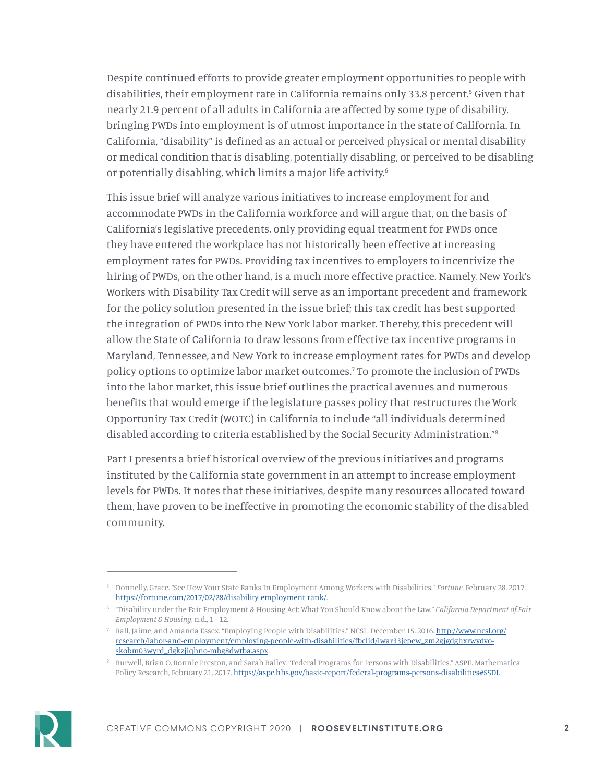Despite continued efforts to provide greater employment opportunities to people with disabilities, their employment rate in California remains only 33.8 percent.<sup>5</sup> Given that nearly 21.9 percent of all adults in California are affected by some type of disability, bringing PWDs into employment is of utmost importance in the state of California. In California, "disability" is defined as an actual or perceived physical or mental disability or medical condition that is disabling, potentially disabling, or perceived to be disabling or potentially disabling, which limits a major life activity.<sup>6</sup>

This issue brief will analyze various initiatives to increase employment for and accommodate PWDs in the California workforce and will argue that, on the basis of California's legislative precedents, only providing equal treatment for PWDs once they have entered the workplace has not historically been effective at increasing employment rates for PWDs. Providing tax incentives to employers to incentivize the hiring of PWDs, on the other hand, is a much more effective practice. Namely, New York's Workers with Disability Tax Credit will serve as an important precedent and framework for the policy solution presented in the issue brief; this tax credit has best supported the integration of PWDs into the New York labor market. Thereby, this precedent will allow the State of California to draw lessons from effective tax incentive programs in Maryland, Tennessee, and New York to increase employment rates for PWDs and develop policy options to optimize labor market outcomes.7 To promote the inclusion of PWDs into the labor market, this issue brief outlines the practical avenues and numerous benefits that would emerge if the legislature passes policy that restructures the Work Opportunity Tax Credit (WOTC) in California to include "all individuals determined disabled according to criteria established by the Social Security Administration."8

Part I presents a brief historical overview of the previous initiatives and programs instituted by the California state government in an attempt to increase employment levels for PWDs. It notes that these initiatives, despite many resources allocated toward them, have proven to be ineffective in promoting the economic stability of the disabled community.



<sup>5</sup> Donnelly, Grace. "See How Your State Ranks In Employment Among Workers with Disabilities." *Fortune*. February 28, 2017. [https://fortune.com/2017/02/28/disability-employment-rank/.](https://fortune.com/2017/02/28/disability-employment-rank/)

<sup>6</sup> "Disability under the Fair Employment & Housing Act: What You Should Know about the Law." *California Department of Fair Employment & Housing*, n.d., 1–12.

<sup>7</sup> Rall, Jaime, and Amanda Essex. "Employing People with Disabilities." NCSL. December 15, 2016. [http://www.ncsl.org/](http://www.ncsl.org/research/labor-and-employment/employing-people-with-disabilities/fbclid/iwar33jepew_zm2gjgdghxrwydvo-skobm03wyrd_dgkzjiqhno-mbg8dwtba.aspx) [research/labor-and-employment/employing-people-with-disabilities/fbclid/iwar33jepew\\_zm2gjgdghxrwydvo](http://www.ncsl.org/research/labor-and-employment/employing-people-with-disabilities/fbclid/iwar33jepew_zm2gjgdghxrwydvo-skobm03wyrd_dgkzjiqhno-mbg8dwtba.aspx)[skobm03wyrd\\_dgkzjiqhno-mbg8dwtba.aspx.](http://www.ncsl.org/research/labor-and-employment/employing-people-with-disabilities/fbclid/iwar33jepew_zm2gjgdghxrwydvo-skobm03wyrd_dgkzjiqhno-mbg8dwtba.aspx)

<sup>8</sup> Burwell, Brian O, Bonnie Preston, and Sarah Bailey. "Federal Programs for Persons with Disabilities." ASPE. Mathematica Policy Research, February 21, 2017. [https://aspe.hhs.gov/basic-report/federal-programs-persons-disabilities#SSDI.](https://aspe.hhs.gov/basic-report/federal-programs-persons-disabilities#SSDI)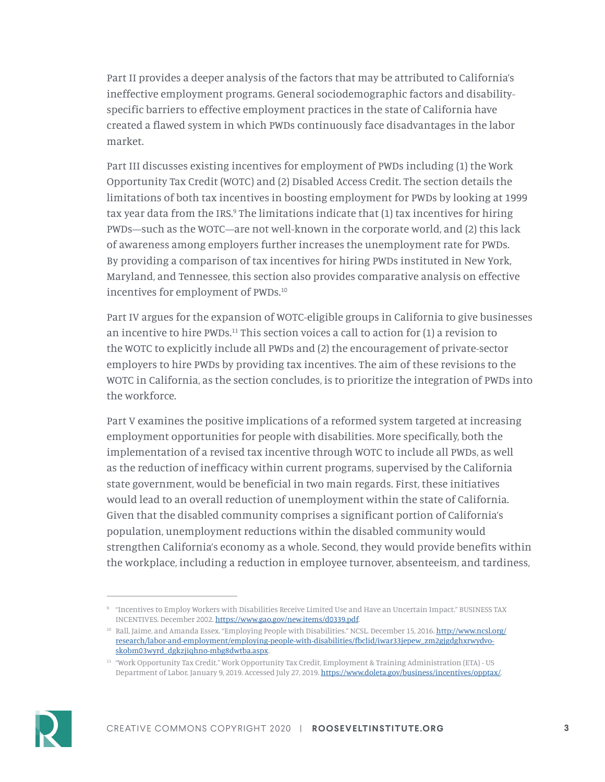Part II provides a deeper analysis of the factors that may be attributed to California's ineffective employment programs. General sociodemographic factors and disabilityspecific barriers to effective employment practices in the state of California have created a flawed system in which PWDs continuously face disadvantages in the labor market.

Part III discusses existing incentives for employment of PWDs including (1) the Work Opportunity Tax Credit (WOTC) and (2) Disabled Access Credit. The section details the limitations of both tax incentives in boosting employment for PWDs by looking at 1999 tax year data from the IRS.<sup>9</sup> The limitations indicate that (1) tax incentives for hiring PWDs—such as the WOTC—are not well-known in the corporate world, and (2) this lack of awareness among employers further increases the unemployment rate for PWDs. By providing a comparison of tax incentives for hiring PWDs instituted in New York, Maryland, and Tennessee, this section also provides comparative analysis on effective incentives for employment of PWDs.10

Part IV argues for the expansion of WOTC-eligible groups in California to give businesses an incentive to hire PWDs. $<sup>11</sup>$  This section voices a call to action for  $(1)$  a revision to</sup> the WOTC to explicitly include all PWDs and (2) the encouragement of private-sector employers to hire PWDs by providing tax incentives. The aim of these revisions to the WOTC in California, as the section concludes, is to prioritize the integration of PWDs into the workforce.

Part V examines the positive implications of a reformed system targeted at increasing employment opportunities for people with disabilities. More specifically, both the implementation of a revised tax incentive through WOTC to include all PWDs, as well as the reduction of inefficacy within current programs, supervised by the California state government, would be beneficial in two main regards. First, these initiatives would lead to an overall reduction of unemployment within the state of California. Given that the disabled community comprises a significant portion of California's population, unemployment reductions within the disabled community would strengthen California's economy as a whole. Second, they would provide benefits within the workplace, including a reduction in employee turnover, absenteeism, and tardiness,



<sup>9</sup> "Incentives to Employ Workers with Disabilities Receive Limited Use and Have an Uncertain Impact." BUSINESS TAX INCENTIVES. December 2002. [https://www.gao.gov/new.items/d0339.pdf.](https://www.gao.gov/new.items/d0339.pdf)

<sup>&</sup>lt;sup>10</sup> Rall, Jaime, and Amanda Essex. "Employing People with Disabilities." NCSL. December 15, 2016. <u>[http://www.ncsl.org/](http://www.ncsl.org/research/labor-and-employment/employing-people-with-disabilities/fbclid/iwar33jepew_zm2gjgdghxrwydvo-skobm03wyrd_dgkzjiqhno-mbg8dwtba.aspx)</u> [research/labor-and-employment/employing-people-with-disabilities/fbclid/iwar33jepew\\_zm2gjgdghxrwydvo](http://www.ncsl.org/research/labor-and-employment/employing-people-with-disabilities/fbclid/iwar33jepew_zm2gjgdghxrwydvo-skobm03wyrd_dgkzjiqhno-mbg8dwtba.aspx)[skobm03wyrd\\_dgkzjiqhno-mbg8dwtba.aspx.](http://www.ncsl.org/research/labor-and-employment/employing-people-with-disabilities/fbclid/iwar33jepew_zm2gjgdghxrwydvo-skobm03wyrd_dgkzjiqhno-mbg8dwtba.aspx)

<sup>&</sup>lt;sup>11</sup> "Work Opportunity Tax Credit." Work Opportunity Tax Credit, Employment & Training Administration (ETA) - US Department of Labor. January 9, 2019. Accessed July 27, 2019. [https://www.doleta.gov/business/incentives/opptax/.](https://www.doleta.gov/business/incentives/opptax/)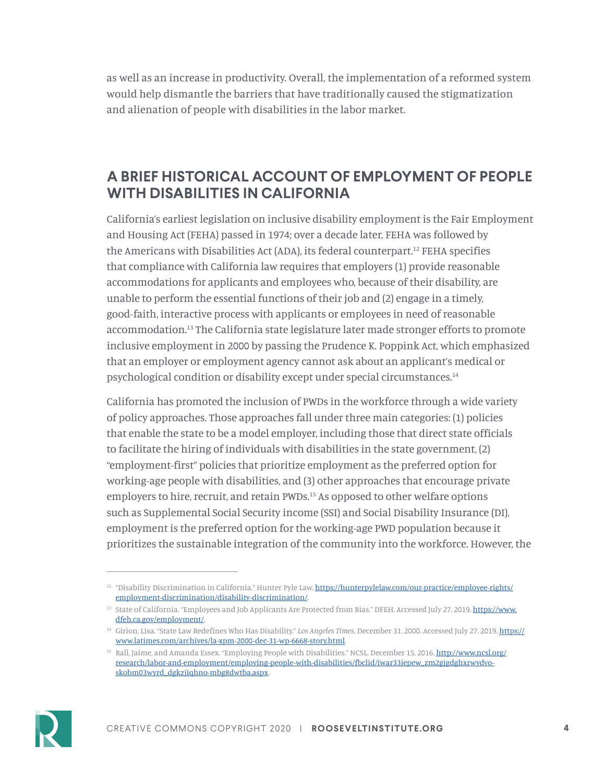as well as an increase in productivity. Overall, the implementation of a reformed system would help dismantle the barriers that have traditionally caused the stigmatization and alienation of people with disabilities in the labor market.

### **A BRIEF HISTORICAL ACCOUNT OF EMPLOYMENT OF PEOPLE WITH DISABILITIES IN CALIFORNIA**

California's earliest legislation on inclusive disability employment is the Fair Employment and Housing Act (FEHA) passed in 1974; over a decade later, FEHA was followed by the Americans with Disabilities Act (ADA), its federal counterpart.12 FEHA specifies that compliance with California law requires that employers (1) provide reasonable accommodations for applicants and employees who, because of their disability, are unable to perform the essential functions of their job and (2) engage in a timely, good-faith, interactive process with applicants or employees in need of reasonable accommodation.13 The California state legislature later made stronger efforts to promote inclusive employment in 2000 by passing the Prudence K. Poppink Act, which emphasized that an employer or employment agency cannot ask about an applicant's medical or psychological condition or disability except under special circumstances.14

California has promoted the inclusion of PWDs in the workforce through a wide variety of policy approaches. Those approaches fall under three main categories: (1) policies that enable the state to be a model employer, including those that direct state officials to facilitate the hiring of individuals with disabilities in the state government, (2) "employment-first" policies that prioritize employment as the preferred option for working-age people with disabilities, and (3) other approaches that encourage private employers to hire, recruit, and retain PWDs.<sup>15</sup> As opposed to other welfare options such as Supplemental Social Security income (SSI) and Social Disability Insurance (DI), employment is the preferred option for the working-age PWD population because it prioritizes the sustainable integration of the community into the workforce. However, the



<sup>&</sup>lt;sup>12</sup> "Disability Discrimination in California." Hunter Pyle Law. [https://hunterpylelaw.com/our-practice/employee-rights/](https://hunterpylelaw.com/our-practice/employee-rights/employment-discrimination/disability-discrimination/) [employment-discrimination/disability-discrimination/](https://hunterpylelaw.com/our-practice/employee-rights/employment-discrimination/disability-discrimination/).

<sup>&</sup>lt;sup>13</sup> State of California. "Employees and Job Applicants Are Protected from Bias." DFEH. Accessed July 27, 2019. [https://www.](https://www.dfeh.ca.gov/employment/) [dfeh.ca.gov/employment/](https://www.dfeh.ca.gov/employment/).

<sup>14</sup> Girion, Lisa. "State Law Redefines Who Has Disability." *Los Angeles Times*. December 31, 2000. Accessed July 27, 2019. [https://](https://www.latimes.com/archives/la-xpm-2000-dec-31-wp-6668-story.html) [www.latimes.com/archives/la-xpm-2000-dec-31-wp-6668-story.html](https://www.latimes.com/archives/la-xpm-2000-dec-31-wp-6668-story.html).

<sup>&</sup>lt;sup>15</sup> Rall, Jaime, and Amanda Essex. "Employing People with Disabilities." NCSL. December 15, 2016. [http://www.ncsl.org/](http://www.ncsl.org/research/labor-and-employment/employing-people-with-disabilities/fbclid/iwar33jepew_zm2gjgdghxrwydvo-skobm03wyrd_dgkzjiqhno-mbg8dwtba.aspx) [research/labor-and-employment/employing-people-with-disabilities/fbclid/iwar33jepew\\_zm2gjgdghxrwydvo](http://www.ncsl.org/research/labor-and-employment/employing-people-with-disabilities/fbclid/iwar33jepew_zm2gjgdghxrwydvo-skobm03wyrd_dgkzjiqhno-mbg8dwtba.aspx)[skobm03wyrd\\_dgkzjiqhno-mbg8dwtba.aspx.](http://www.ncsl.org/research/labor-and-employment/employing-people-with-disabilities/fbclid/iwar33jepew_zm2gjgdghxrwydvo-skobm03wyrd_dgkzjiqhno-mbg8dwtba.aspx)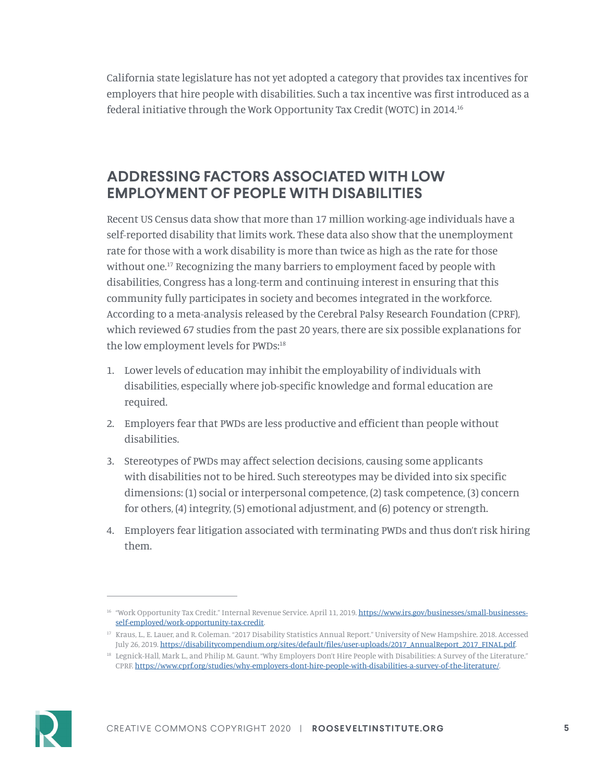California state legislature has not yet adopted a category that provides tax incentives for employers that hire people with disabilities. Such a tax incentive was first introduced as a federal initiative through the Work Opportunity Tax Credit (WOTC) in 2014.16

### **ADDRESSING FACTORS ASSOCIATED WITH LOW EMPLOYMENT OF PEOPLE WITH DISABILITIES**

Recent US Census data show that more than 17 million working-age individuals have a self-reported disability that limits work. These data also show that the unemployment rate for those with a work disability is more than twice as high as the rate for those without one.<sup>17</sup> Recognizing the many barriers to employment faced by people with disabilities, Congress has a long-term and continuing interest in ensuring that this community fully participates in society and becomes integrated in the workforce. According to a meta-analysis released by the Cerebral Palsy Research Foundation (CPRF), which reviewed 67 studies from the past 20 years, there are six possible explanations for the low employment levels for PWDs:18

- 1. Lower levels of education may inhibit the employability of individuals with disabilities, especially where job-specific knowledge and formal education are required.
- 2. Employers fear that PWDs are less productive and efficient than people without disabilities.
- 3. Stereotypes of PWDs may affect selection decisions, causing some applicants with disabilities not to be hired. Such stereotypes may be divided into six specific dimensions: (1) social or interpersonal competence, (2) task competence, (3) concern for others, (4) integrity, (5) emotional adjustment, and (6) potency or strength.
- 4. Employers fear litigation associated with terminating PWDs and thus don't risk hiring them.



<sup>&</sup>lt;sup>16</sup> "Work Opportunity Tax Credit." Internal Revenue Service. April 11, 2019. [https://www.irs.gov/businesses/small-businesses](https://www.irs.gov/businesses/small-businesses-self-employed/work-opportunity-tax-credit)[self-employed/work-opportunity-tax-credit](https://www.irs.gov/businesses/small-businesses-self-employed/work-opportunity-tax-credit).

<sup>17</sup> Kraus, L., E. Lauer, and R. Coleman. "2017 Disability Statistics Annual Report." University of New Hampshire. 2018. Accessed July 26, 2019. [https://disabilitycompendium.org/sites/default/files/user-uploads/2017\\_AnnualReport\\_2017\\_FINAL.pdf.](https://disabilitycompendium.org/sites/default/files/user-uploads/2017_AnnualReport_2017_FINAL.pdf)

<sup>18</sup> Legnick-Hall, Mark L., and Philip M. Gaunt. "Why Employers Don't Hire People with Disabilities: A Survey of the Literature." CPRF. <https://www.cprf.org/studies/why-employers-dont-hire-people-with-disabilities-a-survey-of-the-literature/>.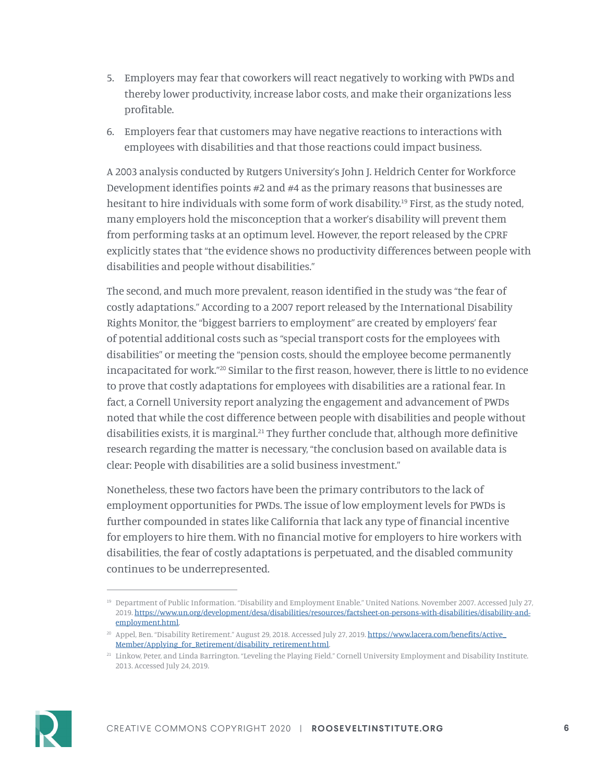- 5. Employers may fear that coworkers will react negatively to working with PWDs and thereby lower productivity, increase labor costs, and make their organizations less profitable.
- 6. Employers fear that customers may have negative reactions to interactions with employees with disabilities and that those reactions could impact business.

A 2003 analysis conducted by Rutgers University's John J. Heldrich Center for Workforce Development identifies points #2 and #4 as the primary reasons that businesses are hesitant to hire individuals with some form of work disability.<sup>19</sup> First, as the study noted, many employers hold the misconception that a worker's disability will prevent them from performing tasks at an optimum level. However, the report released by the CPRF explicitly states that "the evidence shows no productivity differences between people with disabilities and people without disabilities."

The second, and much more prevalent, reason identified in the study was "the fear of costly adaptations." According to a 2007 report released by the International Disability Rights Monitor, the "biggest barriers to employment" are created by employers' fear of potential additional costs such as "special transport costs for the employees with disabilities" or meeting the "pension costs, should the employee become permanently incapacitated for work."20 Similar to the first reason, however, there is little to no evidence to prove that costly adaptations for employees with disabilities are a rational fear. In fact, a Cornell University report analyzing the engagement and advancement of PWDs noted that while the cost difference between people with disabilities and people without disabilities exists, it is marginal.<sup>21</sup> They further conclude that, although more definitive research regarding the matter is necessary, "the conclusion based on available data is clear: People with disabilities are a solid business investment."

Nonetheless, these two factors have been the primary contributors to the lack of employment opportunities for PWDs. The issue of low employment levels for PWDs is further compounded in states like California that lack any type of financial incentive for employers to hire them. With no financial motive for employers to hire workers with disabilities, the fear of costly adaptations is perpetuated, and the disabled community continues to be underrepresented.



<sup>19</sup> Department of Public Information. "Disability and Employment Enable." United Nations. November 2007. Accessed July 27, 2019. [https://www.un.org/development/desa/disabilities/resources/factsheet-on-persons-with-disabilities/disability-and](https://www.un.org/development/desa/disabilities/resources/factsheet-on-persons-with-disabilities/disability-and-employment.html)[employment.html.](https://www.un.org/development/desa/disabilities/resources/factsheet-on-persons-with-disabilities/disability-and-employment.html)

<sup>&</sup>lt;sup>20</sup> Appel, Ben. "Disability Retirement." August 29, 2018. Accessed July 27, 2019. https://www.lacera.com/benefits/Active [Member/Applying\\_for\\_Retirement/disability\\_retirement.html.](https://www.lacera.com/benefits/Active_Member/Applying_for_Retirement/disability_retirement.html)

<sup>&</sup>lt;sup>21</sup> Linkow, Peter, and Linda Barrington. "Leveling the Playing Field." Cornell University Employment and Disability Institute. 2013. Accessed July 24, 2019.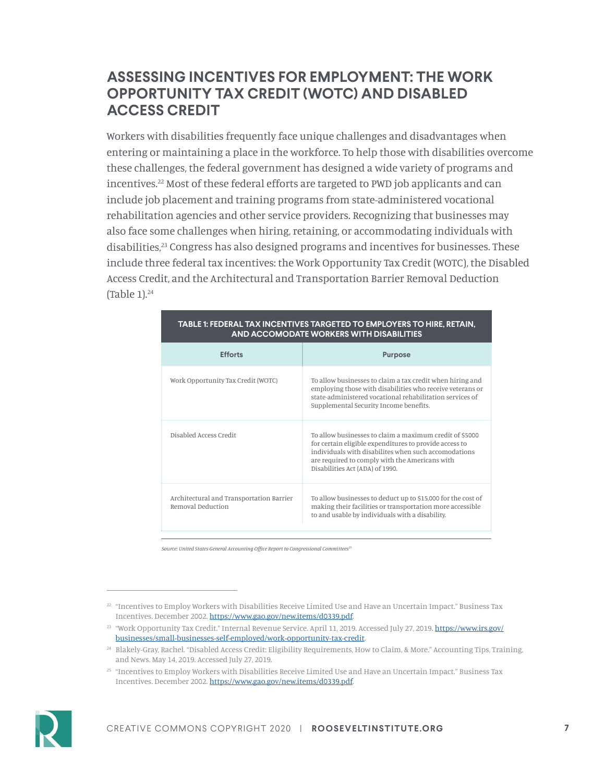### **ASSESSING INCENTIVES FOR EMPLOYMENT: THE WORK OPPORTUNITY TAX CREDIT (WOTC) AND DISABLED ACCESS CREDIT**

Workers with disabilities frequently face unique challenges and disadvantages when entering or maintaining a place in the workforce. To help those with disabilities overcome these challenges, the federal government has designed a wide variety of programs and incentives.<sup>22</sup> Most of these federal efforts are targeted to PWD job applicants and can include job placement and training programs from state-administered vocational rehabilitation agencies and other service providers. Recognizing that businesses may also face some challenges when hiring, retaining, or accommodating individuals with disabilities,<sup>23</sup> Congress has also designed programs and incentives for businesses. These include three federal tax incentives: the Work Opportunity Tax Credit (WOTC), the Disabled Access Credit, and the Architectural and Transportation Barrier Removal Deduction (Table  $1$ ).<sup>24</sup>

| <b>Efforts</b>                                                | <b>Purpose</b>                                                                                                                                                                                                                                                 |
|---------------------------------------------------------------|----------------------------------------------------------------------------------------------------------------------------------------------------------------------------------------------------------------------------------------------------------------|
| Work Opportunity Tax Credit (WOTC)                            | To allow businesses to claim a tax credit when hiring and<br>employing those with disabilities who receive veterans or<br>state-administered vocational rehabilitation services of<br>Supplemental Security Income benefits.                                   |
| Disabled Access Credit                                        | To allow businesses to claim a maximum credit of \$5000<br>for certain eligible expenditures to provide access to<br>individuals with disabilites when such accomodations<br>are required to comply with the Americans with<br>Disabilities Act (ADA) of 1990. |
| Architectural and Transportation Barrier<br>Removal Deduction | To allow businesses to deduct up to \$15,000 for the cost of<br>making their facilities or transportation more accessible<br>to and usable by individuals with a disability.                                                                                   |

#### **TABLE 1: FEDERAL TAX INCENTIVES TARGETED TO EMPLOYERS TO HIRE, RETAIN, AND ACCOMODATE WORKERS WITH DISABILITIES**

*Source: United States General Accounting Office Report to Congressional Committees25*

<sup>&</sup>lt;sup>25</sup> "Incentives to Employ Workers with Disabilities Receive Limited Use and Have an Uncertain Impact." Business Tax Incentives. December 2002. [https://www.gao.gov/new.items/d0339.pdf.](https://www.gao.gov/new.items/d0339.pdf)



 $22$  "Incentives to Employ Workers with Disabilities Receive Limited Use and Have an Uncertain Impact." Business Tax Incentives. December 2002. [https://www.gao.gov/new.items/d0339.pdf.](https://www.gao.gov/new.items/d0339.pdf)

<sup>&</sup>lt;sup>23</sup> "Work Opportunity Tax Credit." Internal Revenue Service. April 11, 2019. Accessed July 27, 2019. [https://www.irs.gov/](https://www.irs.gov/businesses/small-businesses-self-employed/work-opportunity-tax-credit) [businesses/small-businesses-self-employed/work-opportunity-tax-credit](https://www.irs.gov/businesses/small-businesses-self-employed/work-opportunity-tax-credit).

<sup>24</sup> Blakely-Gray, Rachel. "Disabled Access Credit: Eligibility Requirements, How to Claim, & More." Accounting Tips, Training, and News. May 14, 2019. Accessed July 27, 2019.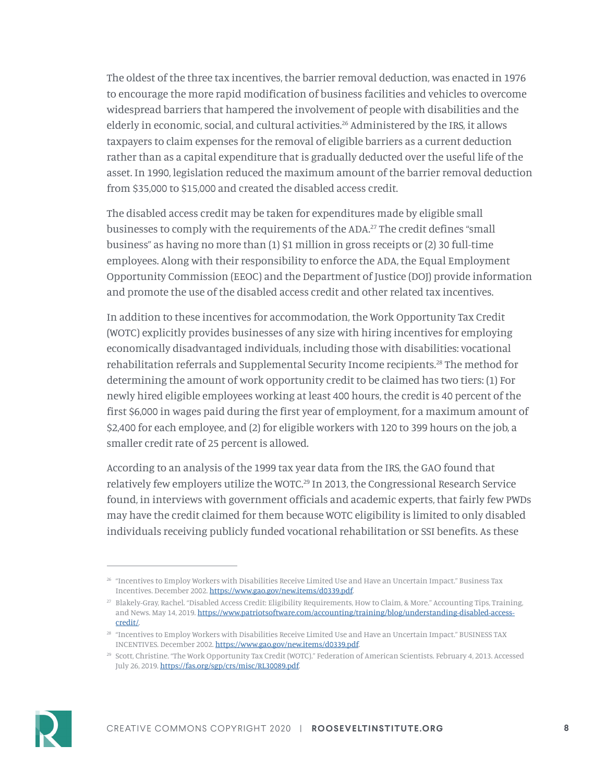The oldest of the three tax incentives, the barrier removal deduction, was enacted in 1976 to encourage the more rapid modification of business facilities and vehicles to overcome widespread barriers that hampered the involvement of people with disabilities and the elderly in economic, social, and cultural activities.<sup>26</sup> Administered by the IRS, it allows taxpayers to claim expenses for the removal of eligible barriers as a current deduction rather than as a capital expenditure that is gradually deducted over the useful life of the asset. In 1990, legislation reduced the maximum amount of the barrier removal deduction from \$35,000 to \$15,000 and created the disabled access credit.

The disabled access credit may be taken for expenditures made by eligible small businesses to comply with the requirements of the ADA.27 The credit defines "small business" as having no more than (1) \$1 million in gross receipts or (2) 30 full-time employees. Along with their responsibility to enforce the ADA, the Equal Employment Opportunity Commission (EEOC) and the Department of Justice (DOJ) provide information and promote the use of the disabled access credit and other related tax incentives.

In addition to these incentives for accommodation, the Work Opportunity Tax Credit (WOTC) explicitly provides businesses of any size with hiring incentives for employing economically disadvantaged individuals, including those with disabilities: vocational rehabilitation referrals and Supplemental Security Income recipients.28 The method for determining the amount of work opportunity credit to be claimed has two tiers: (1) For newly hired eligible employees working at least 400 hours, the credit is 40 percent of the first \$6,000 in wages paid during the first year of employment, for a maximum amount of \$2,400 for each employee, and (2) for eligible workers with 120 to 399 hours on the job, a smaller credit rate of 25 percent is allowed.

According to an analysis of the 1999 tax year data from the IRS, the GAO found that relatively few employers utilize the WOTC.<sup>29</sup> In 2013, the Congressional Research Service found, in interviews with government officials and academic experts, that fairly few PWDs may have the credit claimed for them because WOTC eligibility is limited to only disabled individuals receiving publicly funded vocational rehabilitation or SSI benefits. As these



<sup>26</sup> "Incentives to Employ Workers with Disabilities Receive Limited Use and Have an Uncertain Impact." Business Tax Incentives. December 2002. [https://www.gao.gov/new.items/d0339.pdf.](https://www.gao.gov/new.items/d0339.pdf)

<sup>27</sup> Blakely-Gray, Rachel. "Disabled Access Credit: Eligibility Requirements, How to Claim, & More." Accounting Tips, Training, and News. May 14, 2019. [https://www.patriotsoftware.com/accounting/training/blog/understanding-disabled-access](https://www.patriotsoftware.com/accounting/training/blog/understanding-disabled-access-credit/)[credit/](https://www.patriotsoftware.com/accounting/training/blog/understanding-disabled-access-credit/).

<sup>28</sup> "Incentives to Employ Workers with Disabilities Receive Limited Use and Have an Uncertain Impact." BUSINESS TAX INCENTIVES. December 2002. [https://www.gao.gov/new.items/d0339.pdf.](https://www.gao.gov/new.items/d0339.pdf)

<sup>29</sup> Scott, Christine. "The Work Opportunity Tax Credit (WOTC)." Federation of American Scientists. February 4, 2013. Accessed July 26, 2019.<https://fas.org/sgp/crs/misc/RL30089.pdf>.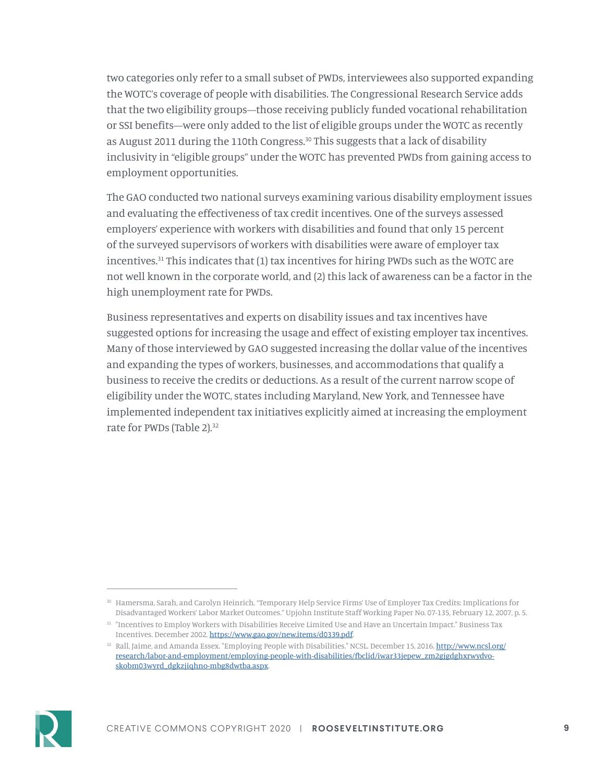two categories only refer to a small subset of PWDs, interviewees also supported expanding the WOTC's coverage of people with disabilities. The Congressional Research Service adds that the two eligibility groups—those receiving publicly funded vocational rehabilitation or SSI benefits—were only added to the list of eligible groups under the WOTC as recently as August 2011 during the 110th Congress.<sup>30</sup> This suggests that a lack of disability inclusivity in "eligible groups" under the WOTC has prevented PWDs from gaining access to employment opportunities.

The GAO conducted two national surveys examining various disability employment issues and evaluating the effectiveness of tax credit incentives. One of the surveys assessed employers' experience with workers with disabilities and found that only 15 percent of the surveyed supervisors of workers with disabilities were aware of employer tax incentives.<sup>31</sup> This indicates that (1) tax incentives for hiring PWDs such as the WOTC are not well known in the corporate world, and (2) this lack of awareness can be a factor in the high unemployment rate for PWDs.

Business representatives and experts on disability issues and tax incentives have suggested options for increasing the usage and effect of existing employer tax incentives. Many of those interviewed by GAO suggested increasing the dollar value of the incentives and expanding the types of workers, businesses, and accommodations that qualify a business to receive the credits or deductions. As a result of the current narrow scope of eligibility under the WOTC, states including Maryland, New York, and Tennessee have implemented independent tax initiatives explicitly aimed at increasing the employment rate for PWDs (Table 2).<sup>32</sup>



<sup>30</sup> Hamersma, Sarah, and Carolyn Heinrich. "Temporary Help Service Firms' Use of Employer Tax Credits: Implications for Disadvantaged Workers' Labor Market Outcomes." Upjohn Institute Staff Working Paper No. 07-135, February 12, 2007, p. 5.

 $31$  "Incentives to Employ Workers with Disabilities Receive Limited Use and Have an Uncertain Impact." Business Tax Incentives. December 2002. [https://www.gao.gov/new.items/d0339.pdf.](https://www.gao.gov/new.items/d0339.pdf)

<sup>&</sup>lt;sup>32</sup> Rall, Jaime, and Amanda Essex. "Employing People with Disabilities." NCSL. December 15, 2016. [http://www.ncsl.org/](http://www.ncsl.org/research/labor-and-employment/employing-people-with-disabilities/fbclid/iwar33jepew_zm2gjgdghxrwydvo-skobm03wyrd_dgkzjiqhno-mbg8dwtba.aspx) [research/labor-and-employment/employing-people-with-disabilities/fbclid/iwar33jepew\\_zm2gjgdghxrwydvo](http://www.ncsl.org/research/labor-and-employment/employing-people-with-disabilities/fbclid/iwar33jepew_zm2gjgdghxrwydvo-skobm03wyrd_dgkzjiqhno-mbg8dwtba.aspx)[skobm03wyrd\\_dgkzjiqhno-mbg8dwtba.aspx.](http://www.ncsl.org/research/labor-and-employment/employing-people-with-disabilities/fbclid/iwar33jepew_zm2gjgdghxrwydvo-skobm03wyrd_dgkzjiqhno-mbg8dwtba.aspx)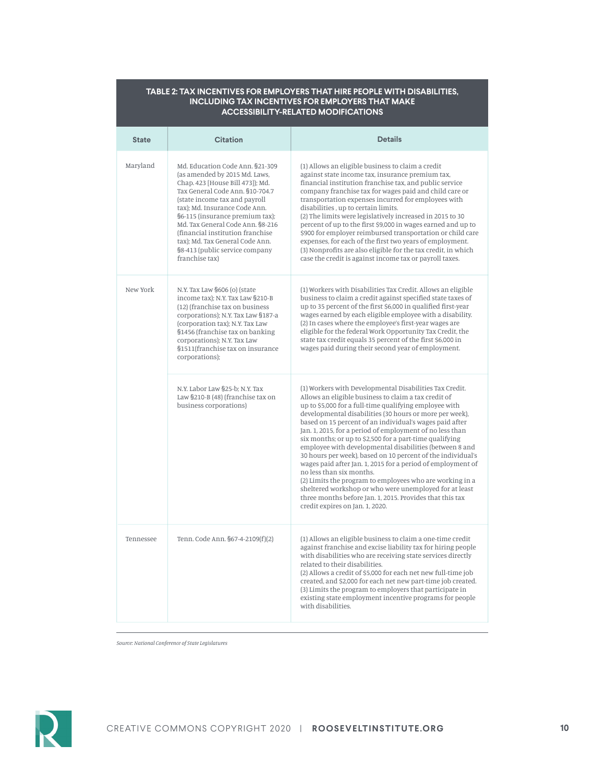| ACCESSIBILI I T-RELATED MODIFICATIONS |                                                                                                                                                                                                                                                                                                                                                                                                              |                                                                                                                                                                                                                                                                                                                                                                                                                                                                                                                                                                                                                                                                                                                                                                                                                                                                  |
|---------------------------------------|--------------------------------------------------------------------------------------------------------------------------------------------------------------------------------------------------------------------------------------------------------------------------------------------------------------------------------------------------------------------------------------------------------------|------------------------------------------------------------------------------------------------------------------------------------------------------------------------------------------------------------------------------------------------------------------------------------------------------------------------------------------------------------------------------------------------------------------------------------------------------------------------------------------------------------------------------------------------------------------------------------------------------------------------------------------------------------------------------------------------------------------------------------------------------------------------------------------------------------------------------------------------------------------|
| State                                 | <b>Citation</b>                                                                                                                                                                                                                                                                                                                                                                                              | <b>Details</b>                                                                                                                                                                                                                                                                                                                                                                                                                                                                                                                                                                                                                                                                                                                                                                                                                                                   |
| Maryland                              | Md. Education Code Ann. §21-309<br>(as amended by 2015 Md. Laws,<br>Chap. 423 [House Bill 473]); Md.<br>Tax General Code Ann. §10-704.7<br>(state income tax and payroll<br>tax); Md. Insurance Code Ann.<br>§6-115 (insurance premium tax);<br>Md. Tax General Code Ann. §8-216<br>(financial institution franchise)<br>tax); Md. Tax General Code Ann.<br>§8-413 (public service company<br>franchise tax) | (1) Allows an eligible business to claim a credit<br>against state income tax, insurance premium tax,<br>financial institution franchise tax, and public service<br>company franchise tax for wages paid and child care or<br>transportation expenses incurred for employees with<br>disabilities, up to certain limits.<br>(2) The limits were legislatively increased in 2015 to 30<br>percent of up to the first \$9,000 in wages earned and up to<br>\$900 for employer reimbursed transportation or child care<br>expenses, for each of the first two years of employment.<br>(3) Nonprofits are also eligible for the tax credit, in which<br>case the credit is against income tax or payroll taxes.                                                                                                                                                      |
| New York                              | N.Y. Tax Law §606 (o) (state<br>income tax); N.Y. Tax Law §210-B<br>(12) (franchise tax on business<br>corporations); N.Y. Tax Law §187-a<br>(corporation tax); N.Y. Tax Law<br>§1456 (franchise tax on banking<br>corporations); N.Y. Tax Law<br>§1511(franchise tax on insurance<br>corporations);                                                                                                         | (1) Workers with Disabilities Tax Credit. Allows an eligible<br>business to claim a credit against specified state taxes of<br>up to 35 percent of the first \$6,000 in qualified first-year<br>wages earned by each eligible employee with a disability.<br>(2) In cases where the employee's first-year wages are<br>eligible for the federal Work Opportunity Tax Credit, the<br>state tax credit equals 35 percent of the first \$6,000 in<br>wages paid during their second year of employment.                                                                                                                                                                                                                                                                                                                                                             |
|                                       | N.Y. Labor Law §25-b; N.Y. Tax<br>Law §210-B (48) (franchise tax on<br>business corporations)                                                                                                                                                                                                                                                                                                                | (1) Workers with Developmental Disabilities Tax Credit.<br>Allows an eligible business to claim a tax credit of<br>up to \$5,000 for a full-time qualifying employee with<br>developmental disabilities (30 hours or more per week),<br>based on 15 percent of an individual's wages paid after<br>Jan. 1, 2015, for a period of employment of no less than<br>six months; or up to \$2,500 for a part-time qualifying<br>employee with developmental disabilities (between 8 and<br>30 hours per week), based on 10 percent of the individual's<br>wages paid after Jan. 1, 2015 for a period of employment of<br>no less than six months.<br>(2) Limits the program to employees who are working in a<br>sheltered workshop or who were unemployed for at least<br>three months before Jan. 1, 2015. Provides that this tax<br>credit expires on Jan. 1, 2020. |
| Tennessee                             | Tenn. Code Ann. §67-4-2109(f)(2)                                                                                                                                                                                                                                                                                                                                                                             | (1) Allows an eligible business to claim a one-time credit<br>against franchise and excise liability tax for hiring people<br>with disabilities who are receiving state services directly<br>related to their disabilities.<br>(2) Allows a credit of \$5,000 for each net new full-time job<br>created, and \$2,000 for each net new part-time job created.<br>(3) Limits the program to employers that participate in<br>existing state employment incentive programs for people<br>with disabilities.                                                                                                                                                                                                                                                                                                                                                         |

**TABLE 2: TAX INCENTIVES FOR EMPLOYERS THAT HIRE PEOPLE WITH DISABILITIES, INCLUDING TAX INCENTIVES FOR EMPLOYERS THAT MAKE ACCESSIBILITY-RELATED MODIFICATIONS**

*Source: National Conference of State Legislatures*

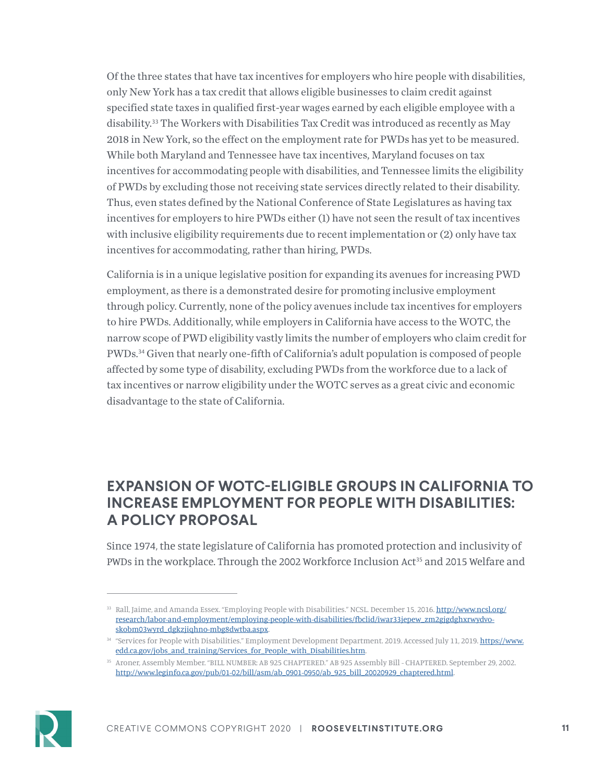Of the three states that have tax incentives for employers who hire people with disabilities, only New York has a tax credit that allows eligible businesses to claim credit against specified state taxes in qualified first-year wages earned by each eligible employee with a disability.<sup>33</sup> The Workers with Disabilities Tax Credit was introduced as recently as May 2018 in New York, so the effect on the employment rate for PWDs has yet to be measured. While both Maryland and Tennessee have tax incentives, Maryland focuses on tax incentives for accommodating people with disabilities, and Tennessee limits the eligibility of PWDs by excluding those not receiving state services directly related to their disability. Thus, even states defined by the National Conference of State Legislatures as having tax incentives for employers to hire PWDs either (1) have not seen the result of tax incentives with inclusive eligibility requirements due to recent implementation or (2) only have tax incentives for accommodating, rather than hiring, PWDs.

California is in a unique legislative position for expanding its avenues for increasing PWD employment, as there is a demonstrated desire for promoting inclusive employment through policy. Currently, none of the policy avenues include tax incentives for employers to hire PWDs. Additionally, while employers in California have access to the WOTC, the narrow scope of PWD eligibility vastly limits the number of employers who claim credit for PWDs.<sup>34</sup> Given that nearly one-fifth of California's adult population is composed of people affected by some type of disability, excluding PWDs from the workforce due to a lack of tax incentives or narrow eligibility under the WOTC serves as a great civic and economic disadvantage to the state of California.

### **EXPANSION OF WOTC-ELIGIBLE GROUPS IN CALIFORNIA TO INCREASE EMPLOYMENT FOR PEOPLE WITH DISABILITIES: A POLICY PROPOSAL**

Since 1974, the state legislature of California has promoted protection and inclusivity of PWDs in the workplace. Through the 2002 Workforce Inclusion Act<sup>35</sup> and 2015 Welfare and



<sup>33</sup> Rall, Jaime, and Amanda Essex. "Employing People with Disabilities." NCSL. December 15, 2016. [http://www.ncsl.org/](http://www.ncsl.org/research/labor-and-employment/employing-people-with-disabilities/fbclid/iwar33jepew_zm2gjgdghxrwydvo-skobm03wyrd_dgkzjiqhno-mbg8dwtba.aspx) [research/labor-and-employment/employing-people-with-disabilities/fbclid/iwar33jepew\\_zm2gjgdghxrwydvo](http://www.ncsl.org/research/labor-and-employment/employing-people-with-disabilities/fbclid/iwar33jepew_zm2gjgdghxrwydvo-skobm03wyrd_dgkzjiqhno-mbg8dwtba.aspx)[skobm03wyrd\\_dgkzjiqhno-mbg8dwtba.aspx.](http://www.ncsl.org/research/labor-and-employment/employing-people-with-disabilities/fbclid/iwar33jepew_zm2gjgdghxrwydvo-skobm03wyrd_dgkzjiqhno-mbg8dwtba.aspx)

<sup>34 &</sup>quot;Services for People with Disabilities." Employment Development Department. 2019. Accessed July 11, 2019. [https://www.](https://www.edd.ca.gov/jobs_and_training/Services_for_People_with_Disabilities.htm) [edd.ca.gov/jobs\\_and\\_training/Services\\_for\\_People\\_with\\_Disabilities.htm.](https://www.edd.ca.gov/jobs_and_training/Services_for_People_with_Disabilities.htm)

<sup>35</sup> Aroner, Assembly Member. "BILL NUMBER: AB 925 CHAPTERED." AB 925 Assembly Bill - CHAPTERED. September 29, 2002. [http://www.leginfo.ca.gov/pub/01-02/bill/asm/ab\\_0901-0950/ab\\_925\\_bill\\_20020929\\_chaptered.html](http://www.leginfo.ca.gov/pub/01-02/bill/asm/ab_0901-0950/ab_925_bill_20020929_chaptered.html).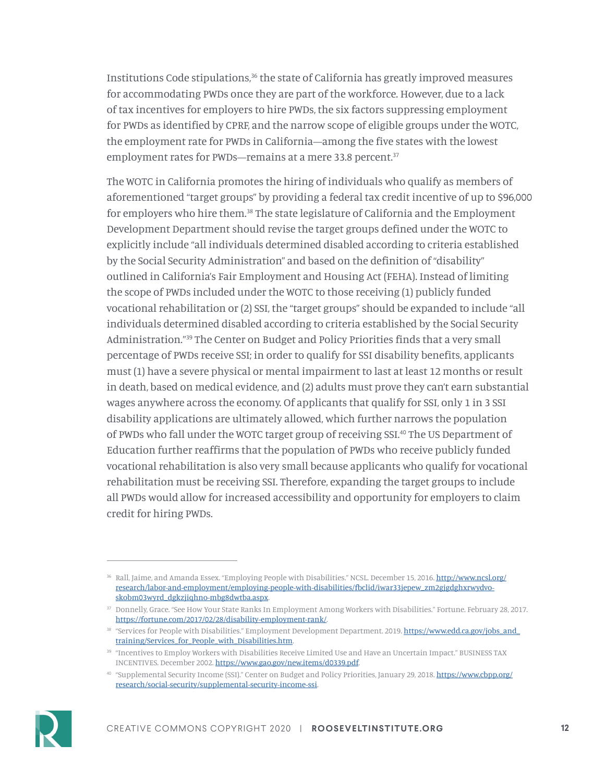Institutions Code stipulations,<sup>36</sup> the state of California has greatly improved measures for accommodating PWDs once they are part of the workforce. However, due to a lack of tax incentives for employers to hire PWDs, the six factors suppressing employment for PWDs as identified by CPRF, and the narrow scope of eligible groups under the WOTC, the employment rate for PWDs in California—among the five states with the lowest employment rates for PWDs—remains at a mere 33.8 percent.<sup>37</sup>

The WOTC in California promotes the hiring of individuals who qualify as members of aforementioned "target groups" by providing a federal tax credit incentive of up to \$96,000 for employers who hire them.<sup>38</sup> The state legislature of California and the Employment Development Department should revise the target groups defined under the WOTC to explicitly include "all individuals determined disabled according to criteria established by the Social Security Administration" and based on the definition of "disability" outlined in California's Fair Employment and Housing Act (FEHA). Instead of limiting the scope of PWDs included under the WOTC to those receiving (1) publicly funded vocational rehabilitation or (2) SSI, the "target groups" should be expanded to include "all individuals determined disabled according to criteria established by the Social Security Administration."39 The Center on Budget and Policy Priorities finds that a very small percentage of PWDs receive SSI; in order to qualify for SSI disability benefits, applicants must (1) have a severe physical or mental impairment to last at least 12 months or result in death, based on medical evidence, and (2) adults must prove they can't earn substantial wages anywhere across the economy. Of applicants that qualify for SSI, only 1 in 3 SSI disability applications are ultimately allowed, which further narrows the population of PWDs who fall under the WOTC target group of receiving SSI.40 The US Department of Education further reaffirms that the population of PWDs who receive publicly funded vocational rehabilitation is also very small because applicants who qualify for vocational rehabilitation must be receiving SSI. Therefore, expanding the target groups to include all PWDs would allow for increased accessibility and opportunity for employers to claim credit for hiring PWDs.

<sup>40</sup> "Supplemental Security Income (SSI)." Center on Budget and Policy Priorities, January 29, 2018. [https://www.cbpp.org/](https://www.cbpp.org/research/social-security/supplemental-security-income-ssi) [research/social-security/supplemental-security-income-ssi](https://www.cbpp.org/research/social-security/supplemental-security-income-ssi).



<sup>&</sup>lt;sup>36</sup> Rall, Jaime, and Amanda Essex. "Employing People with Disabilities." NCSL. December 15, 2016. [http://www.ncsl.org/](http://www.ncsl.org/research/labor-and-employment/employing-people-with-disabilities/fbclid/iwar33jepew_zm2gjgdghxrwydvo-skobm03wyrd_dgkzjiqhno-mbg8dwtba.aspx) [research/labor-and-employment/employing-people-with-disabilities/fbclid/iwar33jepew\\_zm2gjgdghxrwydvo](http://www.ncsl.org/research/labor-and-employment/employing-people-with-disabilities/fbclid/iwar33jepew_zm2gjgdghxrwydvo-skobm03wyrd_dgkzjiqhno-mbg8dwtba.aspx)[skobm03wyrd\\_dgkzjiqhno-mbg8dwtba.aspx.](http://www.ncsl.org/research/labor-and-employment/employing-people-with-disabilities/fbclid/iwar33jepew_zm2gjgdghxrwydvo-skobm03wyrd_dgkzjiqhno-mbg8dwtba.aspx)

<sup>37</sup> Donnelly, Grace. "See How Your State Ranks In Employment Among Workers with Disabilities." Fortune. February 28, 2017. [https://fortune.com/2017/02/28/disability-employment-rank/.](https://fortune.com/2017/02/28/disability-employment-rank/)

<sup>&</sup>lt;sup>38</sup> "Services for People with Disabilities." Employment Development Department. 2019. [https://www.edd.ca.gov/jobs\\_and\\_](https://www.edd.ca.gov/jobs_and_training/Services_for_People_with_Disabilities.htm) [training/Services\\_for\\_People\\_with\\_Disabilities.htm](https://www.edd.ca.gov/jobs_and_training/Services_for_People_with_Disabilities.htm).

<sup>39</sup> "Incentives to Employ Workers with Disabilities Receive Limited Use and Have an Uncertain Impact." BUSINESS TAX INCENTIVES. December 2002. [https://www.gao.gov/new.items/d0339.pdf.](https://www.gao.gov/new.items/d0339.pdf)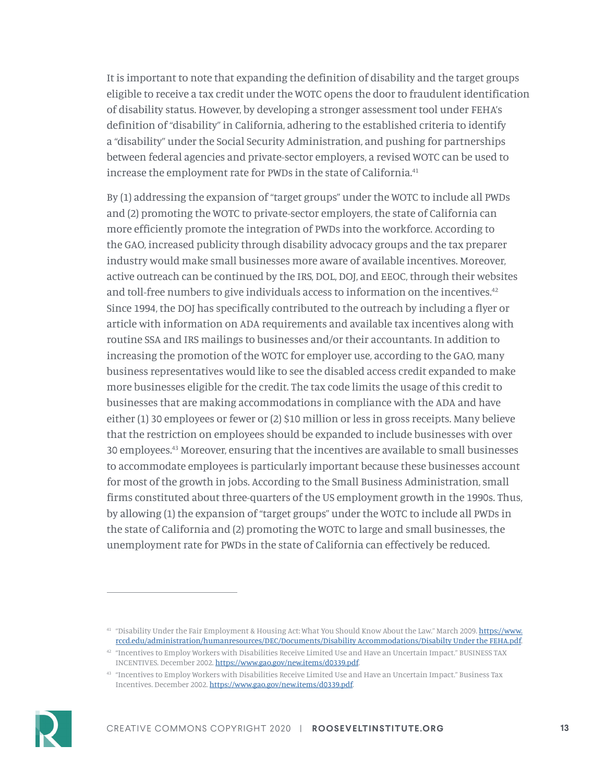It is important to note that expanding the definition of disability and the target groups eligible to receive a tax credit under the WOTC opens the door to fraudulent identification of disability status. However, by developing a stronger assessment tool under FEHA's definition of "disability" in California, adhering to the established criteria to identify a "disability" under the Social Security Administration, and pushing for partnerships between federal agencies and private-sector employers, a revised WOTC can be used to increase the employment rate for PWDs in the state of California.<sup>41</sup>

By (1) addressing the expansion of "target groups" under the WOTC to include all PWDs and (2) promoting the WOTC to private-sector employers, the state of California can more efficiently promote the integration of PWDs into the workforce. According to the GAO, increased publicity through disability advocacy groups and the tax preparer industry would make small businesses more aware of available incentives. Moreover, active outreach can be continued by the IRS, DOL, DOJ, and EEOC, through their websites and toll-free numbers to give individuals access to information on the incentives.42 Since 1994, the DOJ has specifically contributed to the outreach by including a flyer or article with information on ADA requirements and available tax incentives along with routine SSA and IRS mailings to businesses and/or their accountants. In addition to increasing the promotion of the WOTC for employer use, according to the GAO, many business representatives would like to see the disabled access credit expanded to make more businesses eligible for the credit. The tax code limits the usage of this credit to businesses that are making accommodations in compliance with the ADA and have either (1) 30 employees or fewer or (2) \$10 million or less in gross receipts. Many believe that the restriction on employees should be expanded to include businesses with over 30 employees.43 Moreover, ensuring that the incentives are available to small businesses to accommodate employees is particularly important because these businesses account for most of the growth in jobs. According to the Small Business Administration, small firms constituted about three-quarters of the US employment growth in the 1990s. Thus, by allowing (1) the expansion of "target groups" under the WOTC to include all PWDs in the state of California and (2) promoting the WOTC to large and small businesses, the unemployment rate for PWDs in the state of California can effectively be reduced.

<sup>&</sup>lt;sup>43</sup> "Incentives to Employ Workers with Disabilities Receive Limited Use and Have an Uncertain Impact." Business Tax Incentives. December 2002. [https://www.gao.gov/new.items/d0339.pdf.](https://www.gao.gov/new.items/d0339.pdf)



<sup>&</sup>lt;sup>41</sup> "Disability Under the Fair Employment & Housing Act: What You Should Know About the Law." March 2009. [https://www.](https://www.rccd.edu/administration/humanresources/DEC/Documents/Disability Accommodations/Disabilty Under the FEHA.pdf) [rccd.edu/administration/humanresources/DEC/Documents/Disability Accommodations/Disabilty Under the FEHA.pdf.](https://www.rccd.edu/administration/humanresources/DEC/Documents/Disability Accommodations/Disabilty Under the FEHA.pdf)

<sup>42</sup> "Incentives to Employ Workers with Disabilities Receive Limited Use and Have an Uncertain Impact." BUSINESS TAX INCENTIVES. December 2002. [https://www.gao.gov/new.items/d0339.pdf.](https://www.gao.gov/new.items/d0339.pdf)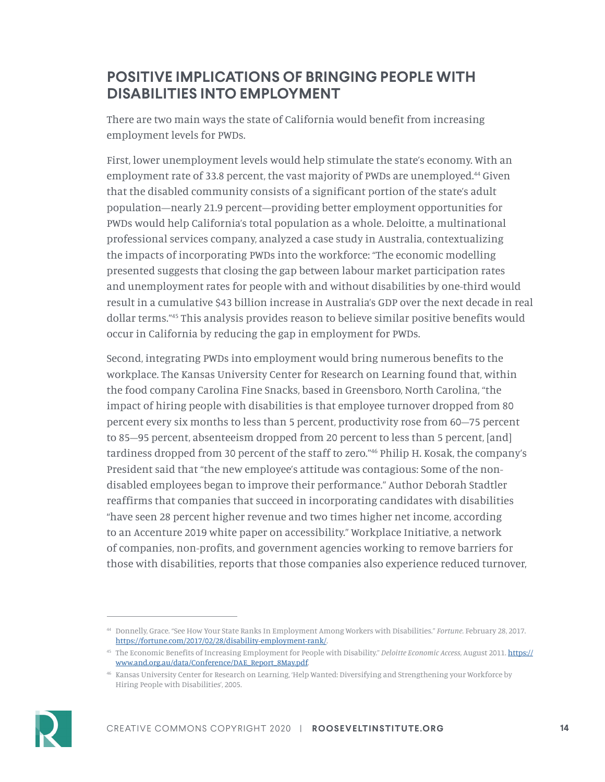### **POSITIVE IMPLICATIONS OF BRINGING PEOPLE WITH DISABILITIES INTO EMPLOYMENT**

There are two main ways the state of California would benefit from increasing employment levels for PWDs.

First, lower unemployment levels would help stimulate the state's economy. With an employment rate of 33.8 percent, the vast majority of PWDs are unemployed.<sup>44</sup> Given that the disabled community consists of a significant portion of the state's adult population—nearly 21.9 percent—providing better employment opportunities for PWDs would help California's total population as a whole. Deloitte, a multinational professional services company, analyzed a case study in Australia, contextualizing the impacts of incorporating PWDs into the workforce: "The economic modelling presented suggests that closing the gap between labour market participation rates and unemployment rates for people with and without disabilities by one-third would result in a cumulative \$43 billion increase in Australia's GDP over the next decade in real dollar terms."45 This analysis provides reason to believe similar positive benefits would occur in California by reducing the gap in employment for PWDs.

Second, integrating PWDs into employment would bring numerous benefits to the workplace. The Kansas University Center for Research on Learning found that, within the food company Carolina Fine Snacks, based in Greensboro, North Carolina, "the impact of hiring people with disabilities is that employee turnover dropped from 80 percent every six months to less than 5 percent, productivity rose from 60–75 percent to 85–95 percent, absenteeism dropped from 20 percent to less than 5 percent, [and] tardiness dropped from 30 percent of the staff to zero."46 Philip H. Kosak, the company's President said that "the new employee's attitude was contagious: Some of the nondisabled employees began to improve their performance." Author Deborah Stadtler reaffirms that companies that succeed in incorporating candidates with disabilities "have seen 28 percent higher revenue and two times higher net income, according to an Accenture 2019 white paper on accessibility." Workplace Initiative, a network of companies, non-profits, and government agencies working to remove barriers for those with disabilities, reports that those companies also experience reduced turnover,

<sup>46</sup> Kansas University Center for Research on Learning, 'Help Wanted: Diversifying and Strengthening your Workforce by Hiring People with Disabilities', 2005.



<sup>44</sup> Donnelly, Grace. "See How Your State Ranks In Employment Among Workers with Disabilities." *Fortune*. February 28, 2017. [https://fortune.com/2017/02/28/disability-employment-rank/.](https://fortune.com/2017/02/28/disability-employment-rank/)

<sup>45</sup> The Economic Benefits of Increasing Employment for People with Disability." *Deloitte Economic Access*, August 2011. [https://](https://www.and.org.au/data/Conference/DAE_Report_8May.pdf) [www.and.org.au/data/Conference/DAE\\_Report\\_8May.pdf](https://www.and.org.au/data/Conference/DAE_Report_8May.pdf).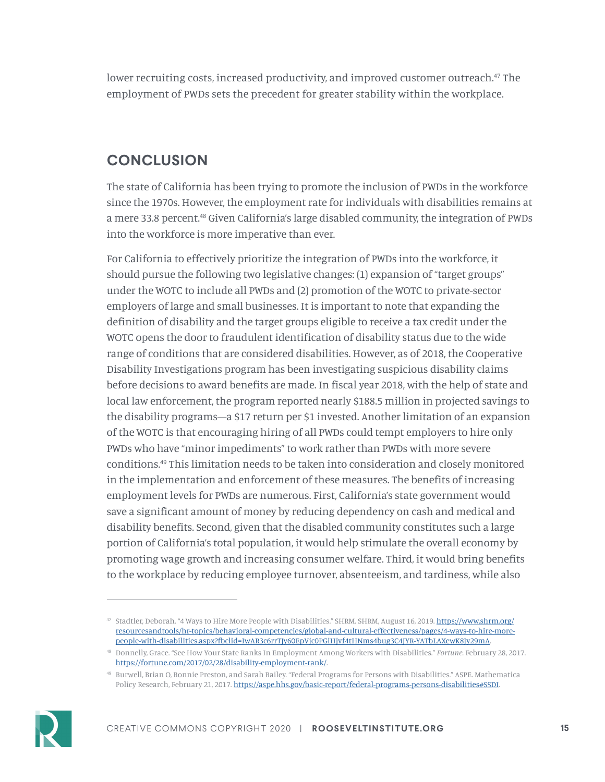lower recruiting costs, increased productivity, and improved customer outreach.<sup>47</sup> The employment of PWDs sets the precedent for greater stability within the workplace.

## **CONCLUSION**

The state of California has been trying to promote the inclusion of PWDs in the workforce since the 1970s. However, the employment rate for individuals with disabilities remains at a mere 33.8 percent.<sup>48</sup> Given California's large disabled community, the integration of PWDs into the workforce is more imperative than ever.

For California to effectively prioritize the integration of PWDs into the workforce, it should pursue the following two legislative changes: (1) expansion of "target groups" under the WOTC to include all PWDs and (2) promotion of the WOTC to private-sector employers of large and small businesses. It is important to note that expanding the definition of disability and the target groups eligible to receive a tax credit under the WOTC opens the door to fraudulent identification of disability status due to the wide range of conditions that are considered disabilities. However, as of 2018, the Cooperative Disability Investigations program has been investigating suspicious disability claims before decisions to award benefits are made. In fiscal year 2018, with the help of state and local law enforcement, the program reported nearly \$188.5 million in projected savings to the disability programs—a \$17 return per \$1 invested. Another limitation of an expansion of the WOTC is that encouraging hiring of all PWDs could tempt employers to hire only PWDs who have "minor impediments" to work rather than PWDs with more severe conditions.49 This limitation needs to be taken into consideration and closely monitored in the implementation and enforcement of these measures. The benefits of increasing employment levels for PWDs are numerous. First, California's state government would save a significant amount of money by reducing dependency on cash and medical and disability benefits. Second, given that the disabled community constitutes such a large portion of California's total population, it would help stimulate the overall economy by promoting wage growth and increasing consumer welfare. Third, it would bring benefits to the workplace by reducing employee turnover, absenteeism, and tardiness, while also

<sup>49</sup> Burwell, Brian O, Bonnie Preston, and Sarah Bailey. "Federal Programs for Persons with Disabilities." ASPE. Mathematica Policy Research, February 21, 2017. [https://aspe.hhs.gov/basic-report/federal-programs-persons-disabilities#SSDI.](https://aspe.hhs.gov/basic-report/federal-programs-persons-disabilities#SSDI)



<sup>&</sup>lt;sup>47</sup> Stadtler, Deborah. "4 Ways to Hire More People with Disabilities." SHRM. SHRM, August 16, 2019. [https://www.shrm.org/](https://www.shrm.org/resourcesandtools/hr-topics/behavioral-competencies/global-and-cultural-effectiveness/pages/4-ways-to-hire-more-people-with-disabilities.aspx?fbclid=IwAR3c6rrTJy60EpVjc0PGiHjvf4tHNms4bug3C4JYR-YATbLAXewK8Jy29mA) [resourcesandtools/hr-topics/behavioral-competencies/global-and-cultural-effectiveness/pages/4-ways-to-hire-more](https://www.shrm.org/resourcesandtools/hr-topics/behavioral-competencies/global-and-cultural-effectiveness/pages/4-ways-to-hire-more-people-with-disabilities.aspx?fbclid=IwAR3c6rrTJy60EpVjc0PGiHjvf4tHNms4bug3C4JYR-YATbLAXewK8Jy29mA)[people-with-disabilities.aspx?fbclid=IwAR3c6rrTJy60EpVjc0PGiHjvf4tHNms4bug3C4JYR-YATbLAXewK8Jy29mA.](https://www.shrm.org/resourcesandtools/hr-topics/behavioral-competencies/global-and-cultural-effectiveness/pages/4-ways-to-hire-more-people-with-disabilities.aspx?fbclid=IwAR3c6rrTJy60EpVjc0PGiHjvf4tHNms4bug3C4JYR-YATbLAXewK8Jy29mA)

<sup>48</sup> Donnelly, Grace. "See How Your State Ranks In Employment Among Workers with Disabilities." *Fortune*. February 28, 2017. [https://fortune.com/2017/02/28/disability-employment-rank/.](https://fortune.com/2017/02/28/disability-employment-rank/)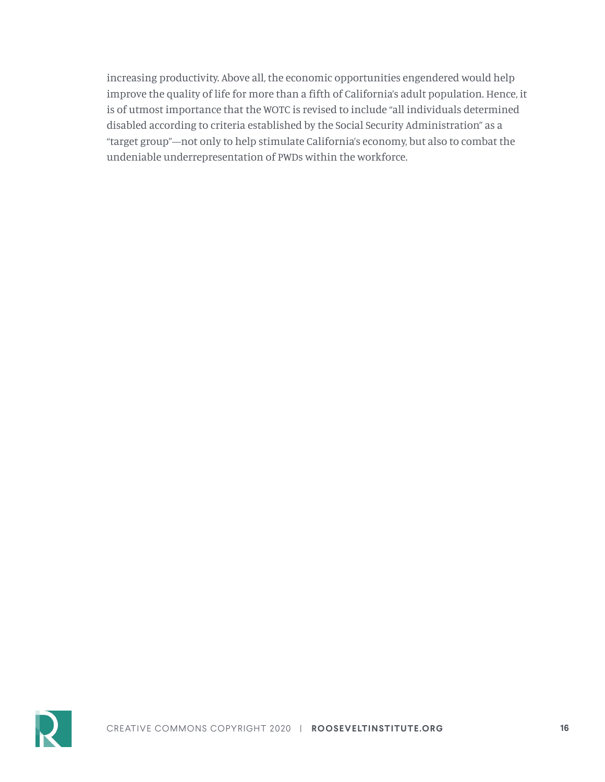increasing productivity. Above all, the economic opportunities engendered would help improve the quality of life for more than a fifth of California's adult population. Hence, it is of utmost importance that the WOTC is revised to include "all individuals determined disabled according to criteria established by the Social Security Administration" as a "target group"—not only to help stimulate California's economy, but also to combat the undeniable underrepresentation of PWDs within the workforce.